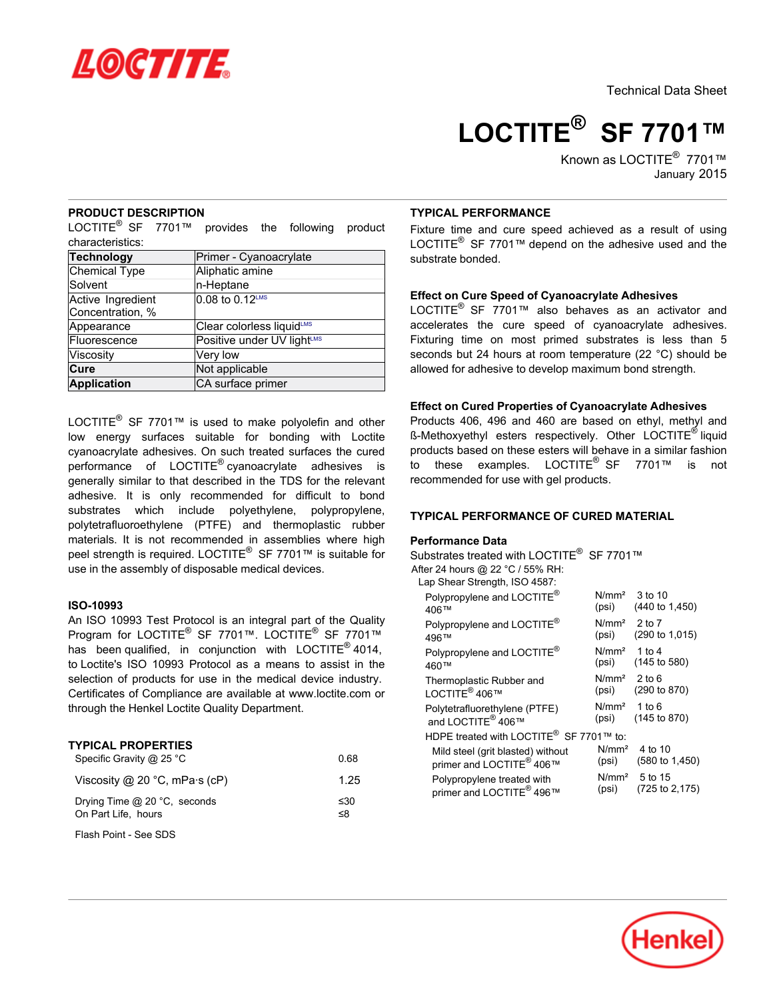

Technical Data Sheet

**LOCTITE® SF 7701™**

Known as LOCTITE<sup>®</sup> 7701™ January 2015

## **PRODUCT DESCRIPTION**

LOCTITE $^{\circledR}$  SF  $\,$  7701™ provides the following product characteristics:

| <b>Technology</b>                     | Primer - Cyanoacrylate     |  |  |  |
|---------------------------------------|----------------------------|--|--|--|
| <b>Chemical Type</b>                  | Aliphatic amine            |  |  |  |
| Solvent                               | n-Heptane                  |  |  |  |
| Active Ingredient<br>Concentration, % | 0.08 to 0.12LMS            |  |  |  |
| Appearance                            | Clear colorless liquidLMS  |  |  |  |
| Fluorescence                          | Positive under UV lightLMS |  |  |  |
| Viscosity                             | Very low                   |  |  |  |
| Cure                                  | Not applicable             |  |  |  |
| <b>Application</b>                    | CA surface primer          |  |  |  |

LOCTITE $^{\circledR}$  SF 7701™ is used to make polyolefin and other low energy surfaces suitable for bonding with Loctite cyanoacrylate adhesives. On such treated surfaces the cured performance of LOCTITE<sup>®</sup> cyanoacrylate adhesives is generally similar to that described in the TDS for the relevant adhesive. It is only recommended for difficult to bond substrates which include polyethylene, polypropylene, polytetrafluoroethylene (PTFE) and thermoplastic rubber materials. It is not recommended in assemblies where high peel strength is required. LOCTITE® SF 7701™ is suitable for use in the assembly of disposable medical devices.

## **ISO-10993**

An ISO 10993 Test Protocol is an integral part of the Quality Program for LOCTITE® SF 7701™. LOCTITE® SF 7701™ has been qualified, in conjunction with  $LOGTITE^{\circledast}$  4014, to Loctite's ISO 10993 Protocol as a means to assist in the selection of products for use in the medical device industry. Certificates of Compliance are available at www.loctite.com or through the Henkel Loctite Quality Department.

### **TYPICAL PROPERTIES**

| Specific Gravity @ 25 °C                              | 0.68            |
|-------------------------------------------------------|-----------------|
| Viscosity @ 20 $^{\circ}$ C, mPa $\cdot$ s (cP)       | 1.25            |
| Drying Time $@$ 20 °C, seconds<br>On Part Life, hours | $\leq 30$<br>≤8 |
| Flash Point - See SDS                                 |                 |

# **TYPICAL PERFORMANCE**

Fixture time and cure speed achieved as a result of using LOCTITE® SF 7701™ depend on the adhesive used and the substrate bonded.

## **Effect on Cure Speed of Cyanoacrylate Adhesives**

LOCTITE<sup>®</sup> SF 7701™ also behaves as an activator and accelerates the cure speed of cyanoacrylate adhesives. Fixturing time on most primed substrates is less than 5 seconds but 24 hours at room temperature (22 °C) should be allowed for adhesive to develop maximum bond strength.

### **Effect on Cured Properties of Cyanoacrylate Adhesives**

Products 406, 496 and 460 are based on ethyl, methyl and ß-Methoxyethyl esters respectively. Other LOCTITE<sup>®</sup> liquid products based on these esters will behave in a similar fashion .<br>to these examples. LOCTITE<sup>®</sup> SF 7701™ is not recommended for use with gel products.

#### **TYPICAL PERFORMANCE OF CURED MATERIAL**

#### **Performance Data**

Substrates treated with LOCTITE<sup>®</sup> SF 7701™

After 24 hours @ 22 °C / 55% RH:

| Lap Shear Strength, ISO 4587:                       |                   |                           |  |  |  |
|-----------------------------------------------------|-------------------|---------------------------|--|--|--|
| Polypropylene and LOCTITE®                          | N/mm <sup>2</sup> | 3 to 10                   |  |  |  |
| 406™                                                | (psi)             | $(440 \text{ to } 1,450)$ |  |  |  |
| Polypropylene and LOCTITE®                          | N/mm <sup>2</sup> | 2 to 7                    |  |  |  |
| 496™                                                | (psi)             | (290 to 1,015)            |  |  |  |
| Polypropylene and LOCTITE®                          | N/mm <sup>2</sup> | 1 to 4                    |  |  |  |
| 460™                                                | (psi)             | (145 to 580)              |  |  |  |
| Thermoplastic Rubber and                            | N/mm <sup>2</sup> | $2$ to 6                  |  |  |  |
| I OCTITF <sup>®</sup> 406™                          | (psi)             | (290 to 870)              |  |  |  |
| Polytetrafluorethylene (PTFE)                       | N/mm <sup>2</sup> | 1 to $6$                  |  |  |  |
| and I OCTITE <sup>®</sup> 406™                      | (psi)             | (145 to 870)              |  |  |  |
| HDPE treated with LOCTITE <sup>®</sup> SF 7701™ to: |                   |                           |  |  |  |
| Mild steel (grit blasted) without                   | N/mm <sup>2</sup> | 4 to 10                   |  |  |  |
| primer and LOCTITE <sup>®</sup> 406™                | (psi)             | $(580 \text{ to } 1,450)$ |  |  |  |
| Polypropylene treated with                          | N/mm <sup>2</sup> | 5 to 15                   |  |  |  |
| primer and LOCTITE <sup>®</sup> 496™                | (psi)             | (725 to 2,175)            |  |  |  |
|                                                     |                   |                           |  |  |  |

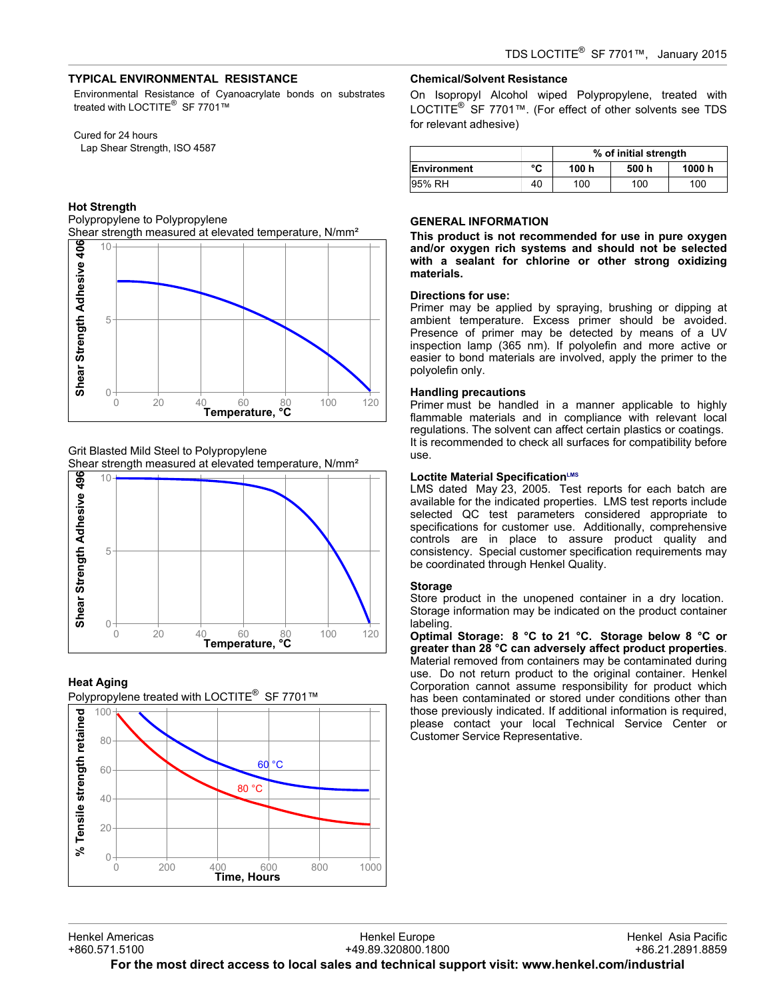# **TYPICAL ENVIRONMENTAL RESISTANCE**

Environmental Resistance of Cyanoacrylate bonds on substrates treated with LOCTITE<sup>®</sup> SF 7701™

## Cured for 24 hours

Lap Shear Strength, ISO 4587

## **Hot Strength**

Polypropylene to Polypropylene



Grit Blasted Mild Steel to Polypropylene



## **Heat Aging**





## **Chemical/Solvent Resistance**

On Isopropyl Alcohol wiped Polypropylene, treated with LOCTITE<sup>®</sup> SF 7701™. (For effect of other solvents see TDS for relevant adhesive)

|             |    | % of initial strength |       |        |  |
|-------------|----|-----------------------|-------|--------|--|
| Environment | °C | 100 h                 | 500 h | 1000 h |  |
| 95% RH      | 40 | 100                   | 100   | 100    |  |

## **GENERAL INFORMATION**

**This product is not recommended for use in pure oxygen and/or oxygen rich systems and should not be selected with a sealant for chlorine or other strong oxidizing materials.**

#### **Directions for use:**

Primer may be applied by spraying, brushing or dipping at ambient temperature. Excess primer should be avoided. Presence of primer may be detected by means of a UV inspection lamp (365 nm). If polyolefin and more active or easier to bond materials are involved, apply the primer to the polyolefin only.

#### **Handling precautions**

Primer must be handled in a manner applicable to highly flammable materials and in compliance with relevant local regulations. The solvent can affect certain plastics or coatings. It is recommended to check all surfaces for compatibility before use.

#### **Loctite Material SpecificationLMS**

LMS dated May 23, 2005. Test reports for each batch are available for the indicated properties. LMS test reports include selected QC test parameters considered appropriate to specifications for customer use. Additionally, comprehensive controls are in place to assure product quality and consistency. Special customer specification requirements may be coordinated through Henkel Quality.

### **Storage**

Store product in the unopened container in a dry location. Storage information may be indicated on the product container labeling.

**Optimal Storage: 8 °C to 21 °C. Storage below 8 °C or greater than 28 °C can adversely affect product properties**. Material removed from containers may be contaminated during use. Do not return product to the original container. Henkel Corporation cannot assume responsibility for product which has been contaminated or stored under conditions other than those previously indicated. If additional information is required, please contact your local Technical Service Center or Customer Service Representative.